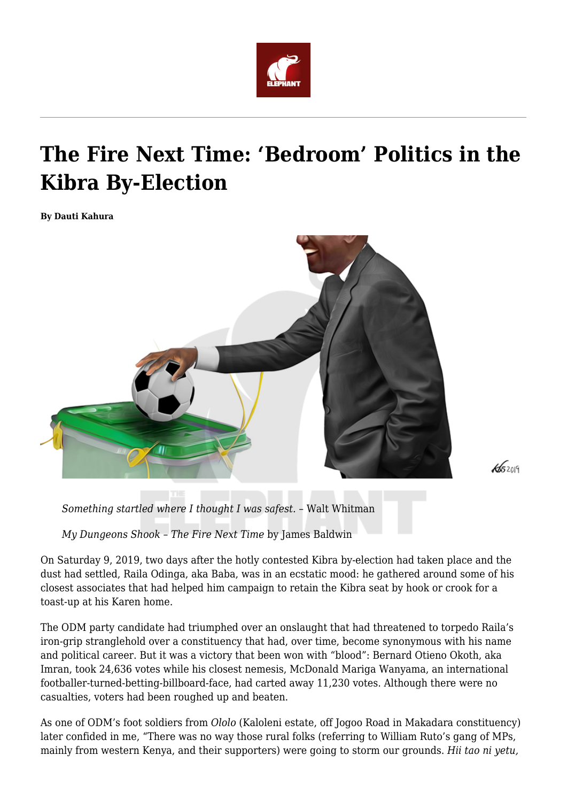

## **The Fire Next Time: 'Bedroom' Politics in the Kibra By-Election**

**By Dauti Kahura**



 $46209$ 

*Something startled where I thought I was safest. –* Walt Whitman

*My Dungeons Shook – The Fire Next Time* by James Baldwin

On Saturday 9, 2019, two days after the hotly contested Kibra by-election had taken place and the dust had settled, Raila Odinga, aka Baba, was in an ecstatic mood: he gathered around some of his closest associates that had helped him campaign to retain the Kibra seat by hook or crook for a toast-up at his Karen home.

The ODM party candidate had triumphed over an onslaught that had threatened to torpedo Raila's iron-grip stranglehold over a constituency that had, over time, become synonymous with his name and political career. But it was a victory that been won with "blood": Bernard Otieno Okoth, aka Imran, took 24,636 votes while his closest nemesis, McDonald Mariga Wanyama, an international footballer-turned-betting-billboard-face, had carted away 11,230 votes. Although there were no casualties, voters had been roughed up and beaten.

As one of ODM's foot soldiers from *Ololo* (Kaloleni estate, off Jogoo Road in Makadara constituency) later confided in me, "There was no way those rural folks (referring to William Ruto's gang of MPs, mainly from western Kenya, and their supporters) were going to storm our grounds. *Hii tao ni yetu,*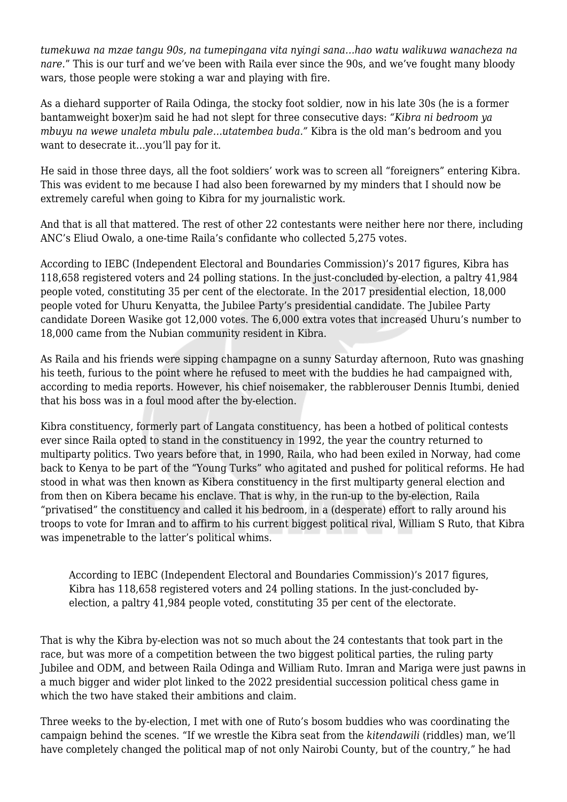*tumekuwa na mzae tangu 90s, na tumepingana vita nyingi sana…hao watu walikuwa wanacheza na nare.*" This is our turf and we've been with Raila ever since the 90s, and we've fought many bloody wars, those people were stoking a war and playing with fire.

As a diehard supporter of Raila Odinga, the stocky foot soldier, now in his late 30s (he is a former bantamweight boxer)m said he had not slept for three consecutive days: *"Kibra ni bedroom ya mbuyu na wewe unaleta mbulu pale…utatembea buda."* Kibra is the old man's bedroom and you want to desecrate it…you'll pay for it.

He said in those three days, all the foot soldiers' work was to screen all "foreigners" entering Kibra. This was evident to me because I had also been forewarned by my minders that I should now be extremely careful when going to Kibra for my journalistic work.

And that is all that mattered. The rest of other 22 contestants were neither here nor there, including ANC's Eliud Owalo, a one-time Raila's confidante who collected 5,275 votes.

According to IEBC (Independent Electoral and Boundaries Commission)'s 2017 figures, Kibra has 118,658 registered voters and 24 polling stations. In the just-concluded by-election, a paltry 41,984 people voted, constituting 35 per cent of the electorate. In the 2017 presidential election, 18,000 people voted for Uhuru Kenyatta, the Jubilee Party's presidential candidate. The Jubilee Party candidate Doreen Wasike got 12,000 votes. The 6,000 extra votes that increased Uhuru's number to 18,000 came from the Nubian community resident in Kibra.

As Raila and his friends were sipping champagne on a sunny Saturday afternoon, Ruto was gnashing his teeth, furious to the point where he refused to meet with the buddies he had campaigned with, according to media reports. However, his chief noisemaker, the rabblerouser Dennis Itumbi, denied that his boss was in a foul mood after the by-election.

Kibra constituency, formerly part of Langata constituency, has been a hotbed of political contests ever since Raila opted to stand in the constituency in 1992, the year the country returned to multiparty politics. Two years before that, in 1990, Raila, who had been exiled in Norway, had come back to Kenya to be part of the "Young Turks" who agitated and pushed for political reforms. He had stood in what was then known as Kibera constituency in the first multiparty general election and from then on Kibera became his enclave. That is why, in the run-up to the by-election, Raila "privatised" the constituency and called it his bedroom, in a (desperate) effort to rally around his troops to vote for Imran and to affirm to his current biggest political rival, William S Ruto, that Kibra was impenetrable to the latter's political whims.

According to IEBC (Independent Electoral and Boundaries Commission)'s 2017 figures, Kibra has 118,658 registered voters and 24 polling stations. In the just-concluded byelection, a paltry 41,984 people voted, constituting 35 per cent of the electorate.

That is why the Kibra by-election was not so much about the 24 contestants that took part in the race, but was more of a competition between the two biggest political parties, the ruling party Jubilee and ODM, and between Raila Odinga and William Ruto. Imran and Mariga were just pawns in a much bigger and wider plot linked to the 2022 presidential succession political chess game in which the two have staked their ambitions and claim.

Three weeks to the by-election, I met with one of Ruto's bosom buddies who was coordinating the campaign behind the scenes. "If we wrestle the Kibra seat from the *kitendawili* (riddles) man, we'll have completely changed the political map of not only Nairobi County, but of the country," he had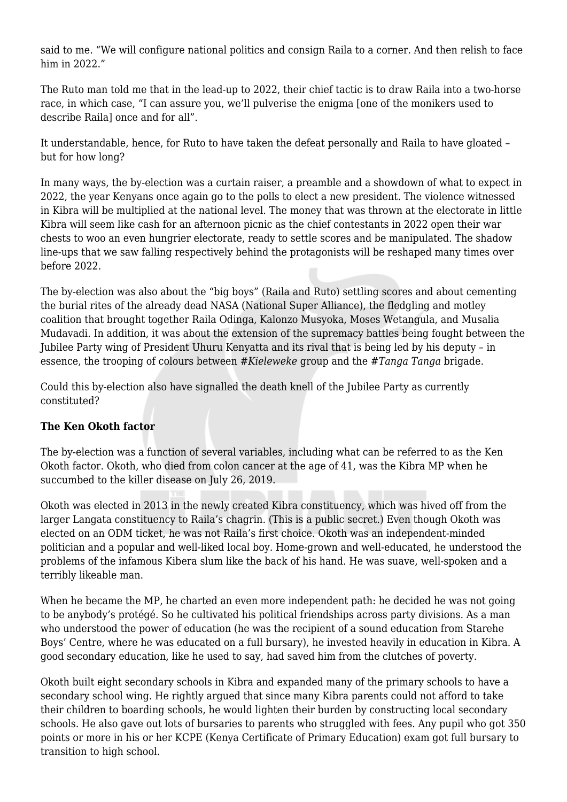said to me. "We will configure national politics and consign Raila to a corner. And then relish to face him in 2022."

The Ruto man told me that in the lead-up to 2022, their chief tactic is to draw Raila into a two-horse race, in which case, "I can assure you, we'll pulverise the enigma [one of the monikers used to describe Raila] once and for all".

It understandable, hence, for Ruto to have taken the defeat personally and Raila to have gloated – but for how long?

In many ways, the by-election was a curtain raiser, a preamble and a showdown of what to expect in 2022, the year Kenyans once again go to the polls to elect a new president. The violence witnessed in Kibra will be multiplied at the national level. The money that was thrown at the electorate in little Kibra will seem like cash for an afternoon picnic as the chief contestants in 2022 open their war chests to woo an even hungrier electorate, ready to settle scores and be manipulated. The shadow line-ups that we saw falling respectively behind the protagonists will be reshaped many times over before 2022.

The by-election was also about the "big boys" (Raila and Ruto) settling scores and about cementing the burial rites of the already dead NASA (National Super Alliance), the fledgling and motley coalition that brought together Raila Odinga, Kalonzo Musyoka, Moses Wetangula, and Musalia Mudavadi. In addition, it was about the extension of the supremacy battles being fought between the Jubilee Party wing of President Uhuru Kenyatta and its rival that is being led by his deputy – in essence, the trooping of colours between *#Kieleweke* group and the *#Tanga Tanga* brigade.

Could this by-election also have signalled the death knell of the Jubilee Party as currently constituted?

## **The Ken Okoth factor**

The by-election was a function of several variables, including what can be referred to as the Ken Okoth factor. Okoth, who died from colon cancer at the age of 41, was the Kibra MP when he succumbed to the killer disease on July 26, 2019.

Okoth was elected in 2013 in the newly created Kibra constituency, which was hived off from the larger Langata constituency to Raila's chagrin. (This is a public secret.) Even though Okoth was elected on an ODM ticket, he was not Raila's first choice. Okoth was an independent-minded politician and a popular and well-liked local boy. Home-grown and well-educated, he understood the problems of the infamous Kibera slum like the back of his hand. He was suave, well-spoken and a terribly likeable man.

When he became the MP, he charted an even more independent path: he decided he was not going to be anybody's protégé. So he cultivated his political friendships across party divisions. As a man who understood the power of education (he was the recipient of a sound education from Starehe Boys' Centre, where he was educated on a full bursary), he invested heavily in education in Kibra. A good secondary education, like he used to say, had saved him from the clutches of poverty.

Okoth built eight secondary schools in Kibra and expanded many of the primary schools to have a secondary school wing. He rightly argued that since many Kibra parents could not afford to take their children to boarding schools, he would lighten their burden by constructing local secondary schools. He also gave out lots of bursaries to parents who struggled with fees. Any pupil who got 350 points or more in his or her KCPE (Kenya Certificate of Primary Education) exam got full bursary to transition to high school.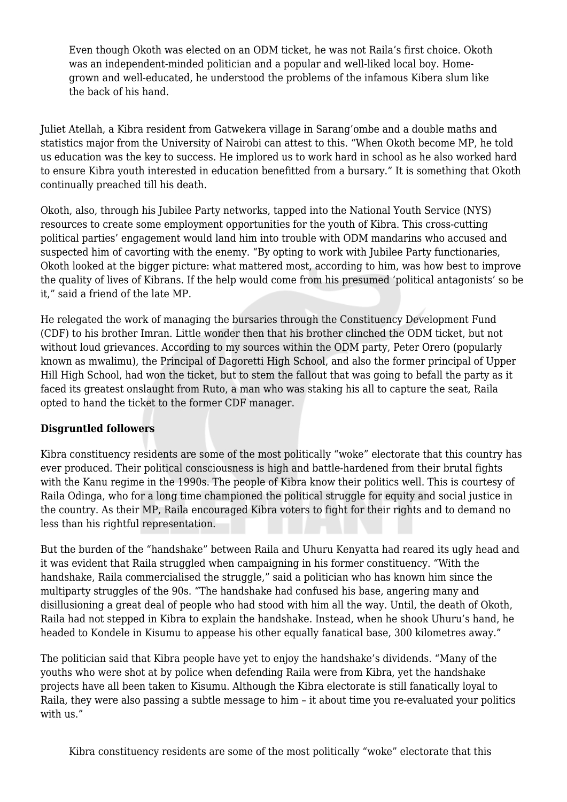Even though Okoth was elected on an ODM ticket, he was not Raila's first choice. Okoth was an independent-minded politician and a popular and well-liked local boy. Homegrown and well-educated, he understood the problems of the infamous Kibera slum like the back of his hand.

Juliet Atellah, a Kibra resident from Gatwekera village in Sarang'ombe and a double maths and statistics major from the University of Nairobi can attest to this. "When Okoth become MP, he told us education was the key to success. He implored us to work hard in school as he also worked hard to ensure Kibra youth interested in education benefitted from a bursary." It is something that Okoth continually preached till his death.

Okoth, also, through his Jubilee Party networks, tapped into the National Youth Service (NYS) resources to create some employment opportunities for the youth of Kibra. This cross-cutting political parties' engagement would land him into trouble with ODM mandarins who accused and suspected him of cavorting with the enemy. "By opting to work with Jubilee Party functionaries, Okoth looked at the bigger picture: what mattered most, according to him, was how best to improve the quality of lives of Kibrans. If the help would come from his presumed 'political antagonists' so be it," said a friend of the late MP.

He relegated the work of managing the bursaries through the Constituency Development Fund (CDF) to his brother Imran. Little wonder then that his brother clinched the ODM ticket, but not without loud grievances. According to my sources within the ODM party, Peter Orero (popularly known as mwalimu), the Principal of Dagoretti High School, and also the former principal of Upper Hill High School, had won the ticket, but to stem the fallout that was going to befall the party as it faced its greatest onslaught from Ruto, a man who was staking his all to capture the seat, Raila opted to hand the ticket to the former CDF manager.

## **Disgruntled followers**

Kibra constituency residents are some of the most politically "woke" electorate that this country has ever produced. Their political consciousness is high and battle-hardened from their brutal fights with the Kanu regime in the 1990s. The people of Kibra know their politics well. This is courtesy of Raila Odinga, who for a long time championed the political struggle for equity and social justice in the country. As their MP, Raila encouraged Kibra voters to fight for their rights and to demand no less than his rightful representation.

But the burden of the "handshake" between Raila and Uhuru Kenyatta had reared its ugly head and it was evident that Raila struggled when campaigning in his former constituency. "With the handshake, Raila commercialised the struggle," said a politician who has known him since the multiparty struggles of the 90s. "The handshake had confused his base, angering many and disillusioning a great deal of people who had stood with him all the way. Until, the death of Okoth, Raila had not stepped in Kibra to explain the handshake. Instead, when he shook Uhuru's hand, he headed to Kondele in Kisumu to appease his other equally fanatical base, 300 kilometres away."

The politician said that Kibra people have yet to enjoy the handshake's dividends. "Many of the youths who were shot at by police when defending Raila were from Kibra, yet the handshake projects have all been taken to Kisumu. Although the Kibra electorate is still fanatically loyal to Raila, they were also passing a subtle message to him – it about time you re-evaluated your politics with us."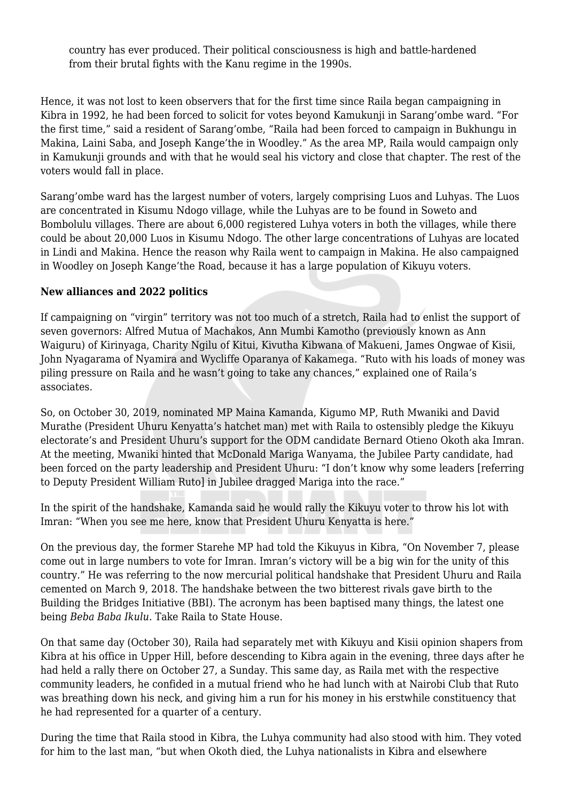country has ever produced. Their political consciousness is high and battle-hardened from their brutal fights with the Kanu regime in the 1990s.

Hence, it was not lost to keen observers that for the first time since Raila began campaigning in Kibra in 1992, he had been forced to solicit for votes beyond Kamukunji in Sarang'ombe ward. "For the first time," said a resident of Sarang'ombe, "Raila had been forced to campaign in Bukhungu in Makina, Laini Saba, and Joseph Kange'the in Woodley." As the area MP, Raila would campaign only in Kamukunji grounds and with that he would seal his victory and close that chapter. The rest of the voters would fall in place.

Sarang'ombe ward has the largest number of voters, largely comprising Luos and Luhyas. The Luos are concentrated in Kisumu Ndogo village, while the Luhyas are to be found in Soweto and Bombolulu villages. There are about 6,000 registered Luhya voters in both the villages, while there could be about 20,000 Luos in Kisumu Ndogo. The other large concentrations of Luhyas are located in Lindi and Makina. Hence the reason why Raila went to campaign in Makina. He also campaigned in Woodley on Joseph Kange'the Road, because it has a large population of Kikuyu voters.

## **New alliances and 2022 politics**

If campaigning on "virgin" territory was not too much of a stretch, Raila had to enlist the support of seven governors: Alfred Mutua of Machakos, Ann Mumbi Kamotho (previously known as Ann Waiguru) of Kirinyaga, Charity Ngilu of Kitui, Kivutha Kibwana of Makueni, James Ongwae of Kisii, John Nyagarama of Nyamira and Wycliffe Oparanya of Kakamega. "Ruto with his loads of money was piling pressure on Raila and he wasn't going to take any chances," explained one of Raila's associates.

So, on October 30, 2019, nominated MP Maina Kamanda, Kigumo MP, Ruth Mwaniki and David Murathe (President Uhuru Kenyatta's hatchet man) met with Raila to ostensibly pledge the Kikuyu electorate's and President Uhuru's support for the ODM candidate Bernard Otieno Okoth aka Imran. At the meeting, Mwaniki hinted that McDonald Mariga Wanyama, the Jubilee Party candidate, had been forced on the party leadership and President Uhuru: "I don't know why some leaders [referring to Deputy President William Ruto] in Jubilee dragged Mariga into the race."

In the spirit of the handshake, Kamanda said he would rally the Kikuyu voter to throw his lot with Imran: "When you see me here, know that President Uhuru Kenyatta is here."

On the previous day, the former Starehe MP had told the Kikuyus in Kibra, "On November 7, please come out in large numbers to vote for Imran. Imran's victory will be a big win for the unity of this country." He was referring to the now mercurial political handshake that President Uhuru and Raila cemented on March 9, 2018. The handshake between the two bitterest rivals gave birth to the Building the Bridges Initiative (BBI). The acronym has been baptised many things, the latest one being *Beba Baba Ikulu.* Take Raila to State House*.*

On that same day (October 30), Raila had separately met with Kikuyu and Kisii opinion shapers from Kibra at his office in Upper Hill, before descending to Kibra again in the evening, three days after he had held a rally there on October 27, a Sunday. This same day, as Raila met with the respective community leaders, he confided in a mutual friend who he had lunch with at Nairobi Club that Ruto was breathing down his neck, and giving him a run for his money in his erstwhile constituency that he had represented for a quarter of a century.

During the time that Raila stood in Kibra, the Luhya community had also stood with him. They voted for him to the last man, "but when Okoth died, the Luhya nationalists in Kibra and elsewhere